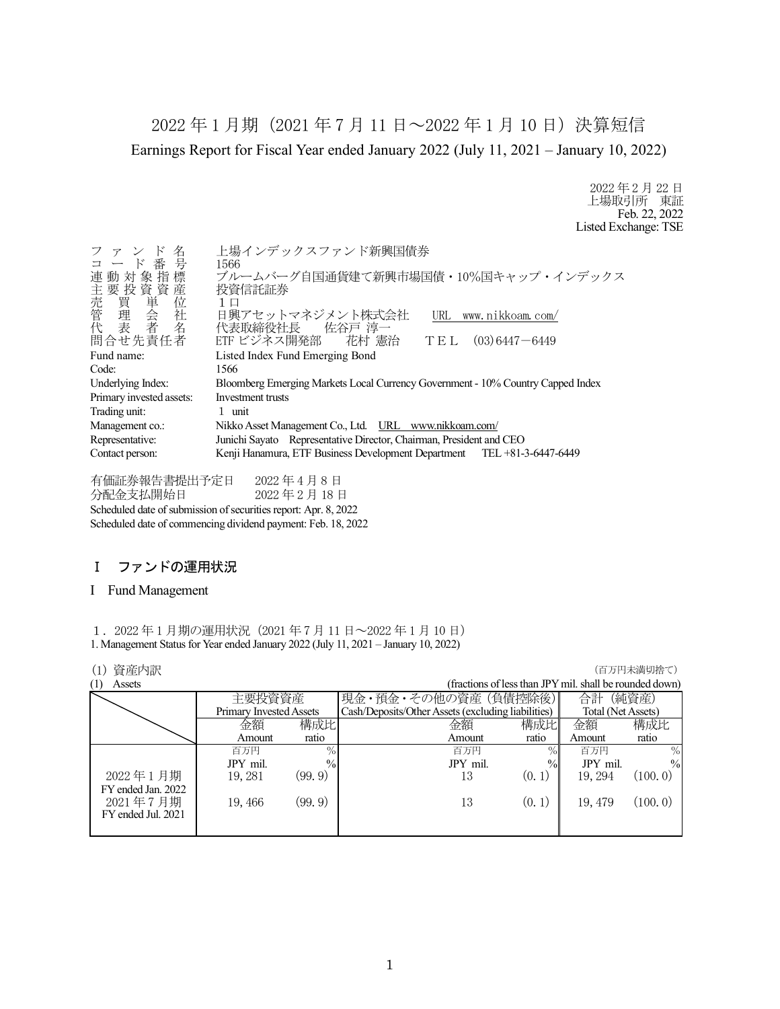2022 年 1 月期(2021 年 7 月 11 日~2022 年 1 月 10 日)決算短信 Earnings Report for Fiscal Year ended January 2022 (July 11, 2021 – January 10, 2022)

> 2022 年 2 月 22 日 上場取引所 東証 Feb. 22, 2022 Listed Exchange: TSE

| ファンド<br>名<br>コード番号<br>連動対象指標<br>)主売管代<br>「我買理会者」<br>「我質単会者」<br>「我質単会者」                 | 上場インデックスファンド新興国債券<br>1566<br>ブルームバーグ自国通貨建て新興市場国債·10%国キャップ・インデックス<br>投資信託証券<br>1 □<br>日興アセットマネジメント株式会社<br>URL www.nikkoam.com/<br>代表取締役社長 佐谷戸 淳一 |  |  |
|----------------------------------------------------------------------------------------|-------------------------------------------------------------------------------------------------------------------------------------------------|--|--|
| 問合せ先責任者                                                                                | ETF ビジネス開発部  花村 憲治<br>$(03)$ 6447 $-$ 6449<br>TEL                                                                                               |  |  |
| Fund name:                                                                             | Listed Index Fund Emerging Bond                                                                                                                 |  |  |
| Code:                                                                                  | 1566                                                                                                                                            |  |  |
| Underlying Index:                                                                      | Bloomberg Emerging Markets Local Currency Government - 10% Country Capped Index                                                                 |  |  |
| Primary invested assets:                                                               | Investment trusts                                                                                                                               |  |  |
| Trading unit:                                                                          | 1 unit                                                                                                                                          |  |  |
| Management co.:                                                                        | Nikko Asset Management Co., Ltd. URL www.nikkoam.com/                                                                                           |  |  |
| Junichi Sayato Representative Director, Chairman, President and CEO<br>Representative: |                                                                                                                                                 |  |  |
| Contact person:                                                                        | Kenji Hanamura, ETF Business Development Department TEL +81-3-6447-6449                                                                         |  |  |

有価証券報告書提出予定日 2022 年 4 月 8 日 分配金支払開始日 2022 年 2 月 18 日 Scheduled date of submission of securities report: Apr. 8, 2022 Scheduled date of commencing dividend payment: Feb. 18, 2022

# Ⅰ ファンドの運用状況

## I Fund Management

1.2022 年 1 月期の運用状況(2021 年 7 月 11 日~2022 年 1 月 10 日) 1. Management Status for Year ended January 2022 (July 11, 2021 – January 10, 2022)

| 資産内訳<br>(1)        |                         |               |                                                    |                                                         |                    | (百万円未満切捨て)    |
|--------------------|-------------------------|---------------|----------------------------------------------------|---------------------------------------------------------|--------------------|---------------|
| (1)<br>Assets      |                         |               |                                                    | (fractions of less than JPY mil. shall be rounded down) |                    |               |
|                    | 主要投資資産                  |               | 現金・預金・その他の資産 (負債控除後)                               |                                                         | 合計                 | (純資産)         |
|                    | Primary Invested Assets |               | Cash/Deposits/Other Assets (excluding liabilities) |                                                         | Total (Net Assets) |               |
|                    | 金額                      | 構成比           | 金額                                                 | 構成比                                                     | 金額                 | 構成比           |
|                    | Amount                  | ratio         | Amount                                             | ratio                                                   | Amount             | ratio         |
|                    | 百万円                     | $\%$          | 百万円                                                | $\%$                                                    | 百万円                | $\%$          |
|                    | JPY mil.                | $\frac{0}{0}$ | JPY mil.                                           | $\%$                                                    | JPY mil.           | $\frac{0}{0}$ |
| 2022年1月期           | 19, 281                 | (99, 9)       | 13                                                 | (0, 1)                                                  | 19, 294            | (100, 0)      |
| FY ended Jan. 2022 |                         |               |                                                    |                                                         |                    |               |
| 2021年7月期           | 19,466                  | (99.9)        | 13                                                 | (0, 1)                                                  | 19, 479            | (100.0)       |
| FY ended Jul. 2021 |                         |               |                                                    |                                                         |                    |               |
|                    |                         |               |                                                    |                                                         |                    |               |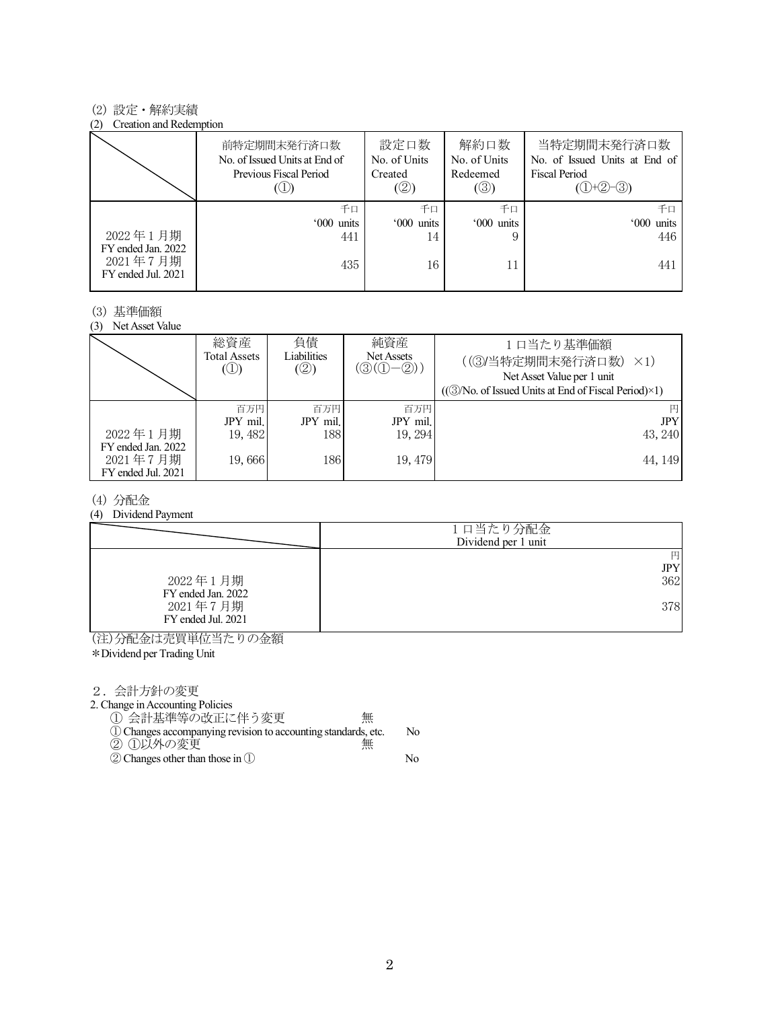#### (2) 設定・解約実績

#### (2) Creation and Redemption

|                                                      | 前特定期間末発行済口数<br>No. of Issued Units at End of<br>Previous Fiscal Period | 設定口数<br>No. of Units<br>Created<br>(2) | 解約口数<br>No. of Units<br>Redeemed<br>(③) | 当特定期間末発行済口数<br>No. of Issued Units at End of<br><b>Fiscal Period</b><br>$(①+②-③)$ |
|------------------------------------------------------|------------------------------------------------------------------------|----------------------------------------|-----------------------------------------|-----------------------------------------------------------------------------------|
|                                                      | 千口                                                                     | 千口                                     | 千口                                      | 千口                                                                                |
|                                                      | '000 units                                                             | '000 units                             | '000 units                              | '000 units                                                                        |
| 2022年1月期                                             | 441                                                                    | 14                                     |                                         | 446                                                                               |
| FY ended Jan. 2022<br>2021年7月期<br>FY ended Jul. 2021 | 435                                                                    | 16                                     |                                         | 441                                                                               |

#### (3) 基準価額

(3) Net Asset Value

|                                                      | 総資産<br>Total Assets<br>$\circledcirc$ | 負債<br>Liabilities<br>(②) | 純資産<br>Net Assets<br>$(\circledS(\mathbb{O}-\mathbb{Q}))$ | 1口当たり基準価額<br>((3)当特定期間末発行済口数)<br>$\times$ 1)<br>Net Asset Value per 1 unit<br>$((\textcircled{3}/No. of Issued Units at End of Fiscal Period)\times 1)$ |
|------------------------------------------------------|---------------------------------------|--------------------------|-----------------------------------------------------------|---------------------------------------------------------------------------------------------------------------------------------------------------------|
|                                                      | 百万円                                   | 百万円                      | 百万円                                                       | 円                                                                                                                                                       |
|                                                      | JPY mil.                              | JPY mil.                 | JPY mil.                                                  | <b>JPY</b>                                                                                                                                              |
| 2022年1月期                                             | 19, 482                               | 188                      | 19.294                                                    | 43, 240                                                                                                                                                 |
| FY ended Jan. 2022<br>2021年7月期<br>FY ended Jul. 2021 | 19,666                                | 186                      | 19, 479                                                   | 44, 149                                                                                                                                                 |

## (4) 分配金

#### (4) Dividend Payment

|                                | 1口当たり分配金<br>Dividend per 1 unit |
|--------------------------------|---------------------------------|
|                                | 円<br>JPY                        |
| 2022年1月期<br>FY ended Jan. 2022 | 362                             |
| 2021年7月期<br>FY ended Jul. 2021 | 378                             |

(注)分配金は売買単位当たりの金額

\*Dividend per Trading Unit

2.会計方針の変更

2. Change in Accounting Policies

① 会計基準等の改正に伴う変更 無

- ①Changes accompanying revision to accounting standards, etc. No ② ①以外の変更 無
- ②Changes other than those in ① No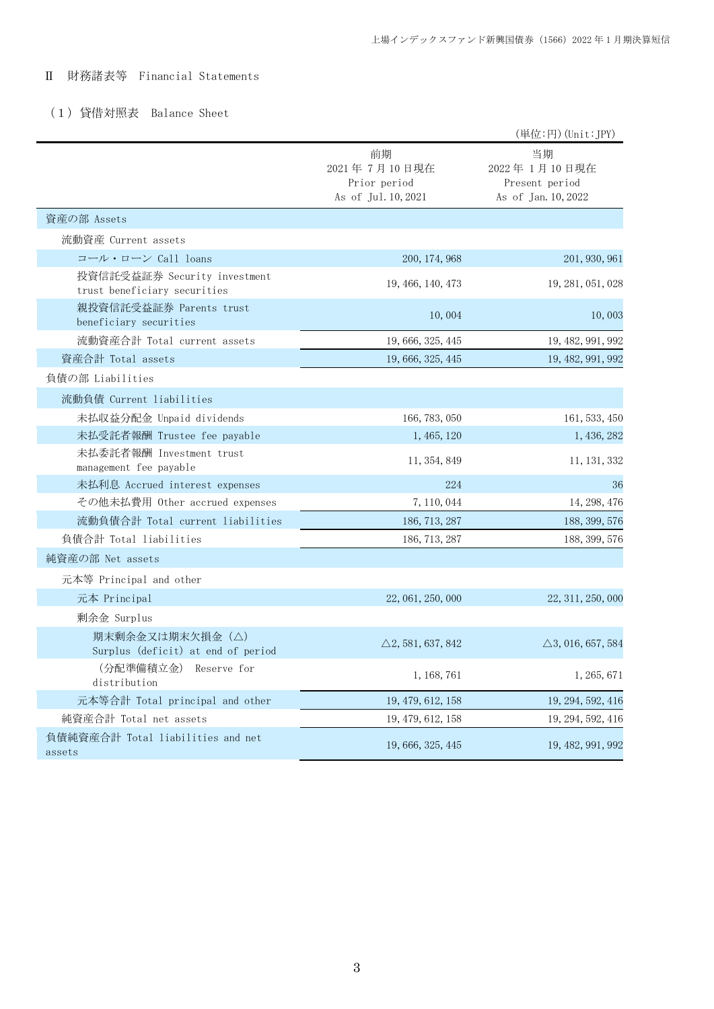# Ⅱ 財務諸表等 Financial Statements

# (1)貸借対照表 Balance Sheet

|                                                              |                                                           | (単位:円) (Unit: JPY)                                          |
|--------------------------------------------------------------|-----------------------------------------------------------|-------------------------------------------------------------|
|                                                              | 前期<br>2021年7月10日現在<br>Prior period<br>As of Jul. 10, 2021 | 当期<br>2022年1月10日現在<br>Present period<br>As of Jan. 10, 2022 |
| 資産の部 Assets                                                  |                                                           |                                                             |
| 流動資産 Current assets                                          |                                                           |                                                             |
| コール・ローン Call loans                                           | 200, 174, 968                                             | 201, 930, 961                                               |
| 投資信託受益証券 Security investment<br>trust beneficiary securities | 19, 466, 140, 473                                         | 19, 281, 051, 028                                           |
| 親投資信託受益証券 Parents trust<br>beneficiary securities            | 10,004                                                    | 10,003                                                      |
| 流動資産合計 Total current assets                                  | 19, 666, 325, 445                                         | 19, 482, 991, 992                                           |
| 資産合計 Total assets                                            | 19, 666, 325, 445                                         | 19, 482, 991, 992                                           |
| 負債の部 Liabilities                                             |                                                           |                                                             |
| 流動負債 Current liabilities                                     |                                                           |                                                             |
| 未払収益分配金 Unpaid dividends                                     | 166, 783, 050                                             | 161, 533, 450                                               |
| 未払受託者報酬 Trustee fee payable                                  | 1, 465, 120                                               | 1, 436, 282                                                 |
| 未払委託者報酬 Investment trust<br>management fee payable           | 11, 354, 849                                              | 11, 131, 332                                                |
| 未払利息 Accrued interest expenses                               | 224                                                       | 36                                                          |
| その他未払費用 Other accrued expenses                               | 7, 110, 044                                               | 14, 298, 476                                                |
| 流動負債合計 Total current liabilities                             | 186, 713, 287                                             | 188, 399, 576                                               |
| 負債合計 Total liabilities                                       | 186, 713, 287                                             | 188, 399, 576                                               |
| 純資産の部 Net assets                                             |                                                           |                                                             |
| 元本等 Principal and other                                      |                                                           |                                                             |
| 元本 Principal                                                 | 22, 061, 250, 000                                         | 22, 311, 250, 000                                           |
| 剰余金 Surplus                                                  |                                                           |                                                             |
| 期末剰余金又は期末欠損金(△)<br>Surplus (deficit) at end of period        | $\triangle$ 2, 581, 637, 842                              | $\triangle$ 3, 016, 657, 584                                |
| (分配準備積立金)<br>Reserve for<br>distribution                     | 1, 168, 761                                               | 1, 265, 671                                                 |
| 元本等合計 Total principal and other                              | 19, 479, 612, 158                                         | 19, 294, 592, 416                                           |
| 純資産合計 Total net assets                                       | 19, 479, 612, 158                                         | 19, 294, 592, 416                                           |
| 負債純資産合計 Total liabilities and net<br>assets                  | 19, 666, 325, 445                                         | 19, 482, 991, 992                                           |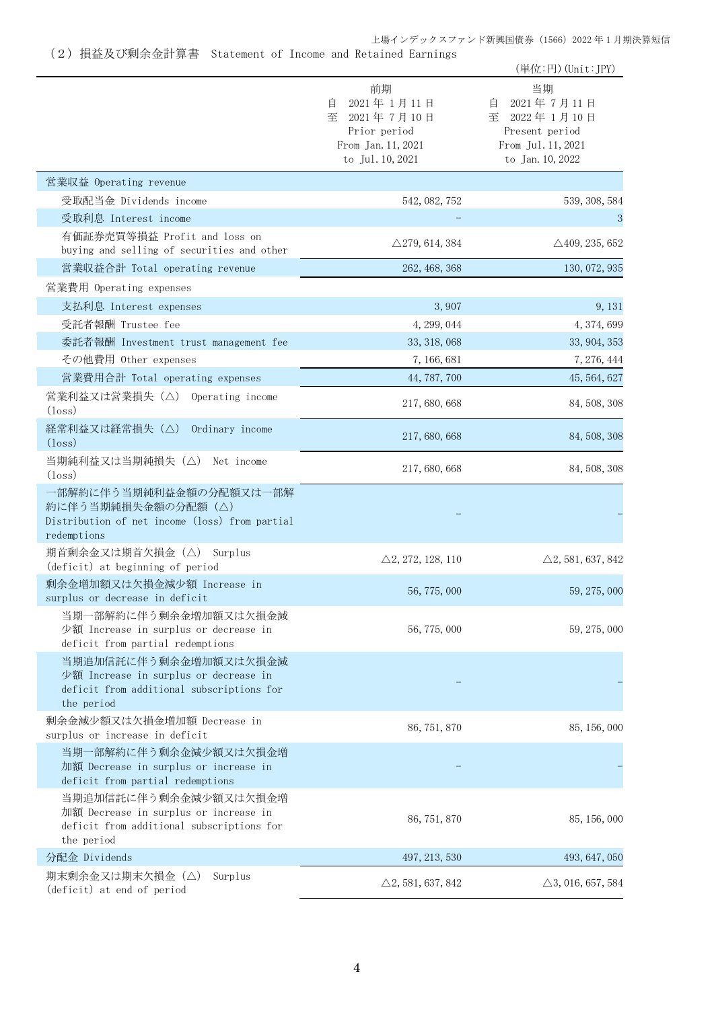上場インデックスファンド新興国債券(1566)2022 年 1 月期決算短信

(2)損益及び剰余金計算書 Statement of Income and Retained Earnings

|                                                                                                                           |                                                                                                    | (単位:円) (Unit:JPY)                                                                                    |
|---------------------------------------------------------------------------------------------------------------------------|----------------------------------------------------------------------------------------------------|------------------------------------------------------------------------------------------------------|
|                                                                                                                           | 前期<br>2021年1月11日<br>自<br>2021年7月10日<br>至<br>Prior period<br>From Jan. 11, 2021<br>to Jul. 10, 2021 | 当期<br>2021年7月11日<br>目<br>至<br>2022年1月10日<br>Present period<br>From Jul. 11, 2021<br>to Jan. 10, 2022 |
| 営業収益 Operating revenue                                                                                                    |                                                                                                    |                                                                                                      |
| 受取配当金 Dividends income                                                                                                    | 542, 082, 752                                                                                      | 539, 308, 584                                                                                        |
| 受取利息 Interest income                                                                                                      |                                                                                                    | 3                                                                                                    |
| 有価証券売買等損益 Profit and loss on<br>buying and selling of securities and other                                                | $\triangle$ 279, 614, 384                                                                          | $\triangle$ 409, 235, 652                                                                            |
| 営業収益合計 Total operating revenue                                                                                            | 262, 468, 368                                                                                      | 130, 072, 935                                                                                        |
| 営業費用 Operating expenses                                                                                                   |                                                                                                    |                                                                                                      |
| 支払利息 Interest expenses                                                                                                    | 3,907                                                                                              | 9, 131                                                                                               |
| 受託者報酬 Trustee fee                                                                                                         | 4, 299, 044                                                                                        | 4, 374, 699                                                                                          |
| 委託者報酬 Investment trust management fee                                                                                     | 33, 318, 068                                                                                       | 33, 904, 353                                                                                         |
| その他費用 Other expenses                                                                                                      | 7, 166, 681                                                                                        | 7, 276, 444                                                                                          |
| 営業費用合計 Total operating expenses                                                                                           | 44, 787, 700                                                                                       | 45, 564, 627                                                                                         |
| 営業利益又は営業損失(△)<br>Operating income<br>$(\text{loss})$                                                                      | 217, 680, 668                                                                                      | 84, 508, 308                                                                                         |
| 経常利益又は経常損失(△)<br>Ordinary income<br>$(\text{loss})$                                                                       | 217, 680, 668                                                                                      | 84, 508, 308                                                                                         |
| 当期純利益又は当期純損失(△) Net income<br>$(\text{loss})$                                                                             | 217, 680, 668                                                                                      | 84, 508, 308                                                                                         |
| 一部解約に伴う当期純利益金額の分配額又は一部解<br>約に伴う当期純損失金額の分配額(△)<br>Distribution of net income (loss) from partial<br>redemptions            |                                                                                                    |                                                                                                      |
| 期首剰余金又は期首欠損金(△)<br>Surplus<br>(deficit) at beginning of period                                                            | $\triangle$ 2, 272, 128, 110                                                                       | $\triangle$ 2, 581, 637, 842                                                                         |
| 剰余金増加額又は欠損金減少額 Increase in<br>surplus or decrease in deficit                                                              | 56, 775, 000                                                                                       | 59, 275, 000                                                                                         |
| 当期一部解約に伴う剰余金増加額又は欠損金減<br>少額 Increase in surplus or decrease in<br>deficit from partial redemptions                        | 56, 775, 000                                                                                       | 59, 275, 000                                                                                         |
| 当期追加信託に伴う剰余金増加額又は欠損金減<br>少額 Increase in surplus or decrease in<br>deficit from additional subscriptions for<br>the period |                                                                                                    |                                                                                                      |
| 剰余金減少額又は欠損金増加額 Decrease in<br>surplus or increase in deficit                                                              | 86, 751, 870                                                                                       | 85, 156, 000                                                                                         |
| 当期一部解約に伴う剰余金減少額又は欠損金増<br>加額 Decrease in surplus or increase in<br>deficit from partial redemptions                        |                                                                                                    |                                                                                                      |
| 当期追加信託に伴う剰余金減少額又は欠損金増<br>加額 Decrease in surplus or increase in<br>deficit from additional subscriptions for<br>the period | 86, 751, 870                                                                                       | 85, 156, 000                                                                                         |
| 分配金 Dividends                                                                                                             | 497, 213, 530                                                                                      | 493, 647, 050                                                                                        |
| 期末剰余金又は期末欠損金(△)<br>Surplus<br>(deficit) at end of period                                                                  | $\triangle$ 2, 581, 637, 842                                                                       | $\triangle$ 3, 016, 657, 584                                                                         |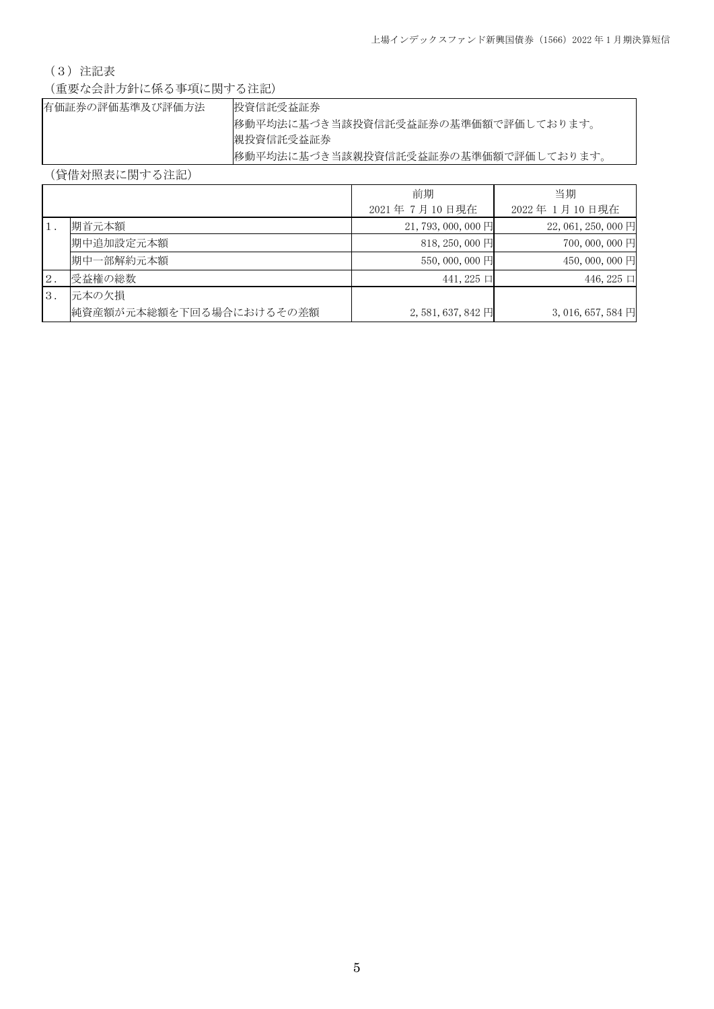# (3)注記表

(重要な会計方針に係る事項に関する注記)

| 有価証券の評価基準及び評価方法 | 投資信託受益証券                            |
|-----------------|-------------------------------------|
|                 | 移動平均法に基づき当該投資信託受益証券の基準価額で評価しております。  |
|                 | 親投資信託受益証券                           |
|                 | 移動平均法に基づき当該親投資信託受益証券の基準価額で評価しております。 |

(貸借対照表に関する注記)

|                |                         | 前期                 | 当期                          |
|----------------|-------------------------|--------------------|-----------------------------|
|                |                         | 2021年7月10日現在       | 2022年1月10日現在                |
|                | 期首元本額                   | $21,793,000,000$ 円 | $22,061,250,000$ 円          |
|                | 期中追加設定元本額               | $818, 250, 000$ 円  | 700,000,000円                |
|                | 期中一部解約元本額               | 550,000,000 円      | 450,000,000円                |
| $2$ .          | 受益権の総数                  | $441,225$ 口        | 446, 225 $\Box$             |
| $\mathbf{3}$ . | 元本の欠損                   |                    |                             |
|                | 純資産額が元本総額を下回る場合におけるその差額 | $2,581,637,842$ 円  | 3, 016, 657, 584 $\boxplus$ |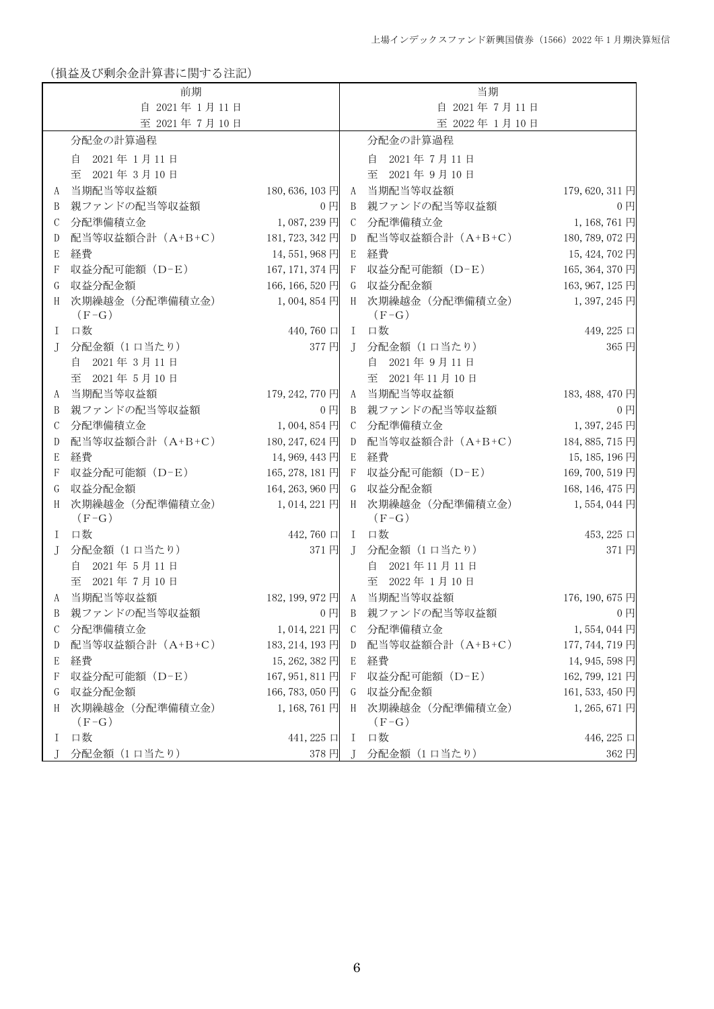(損益及び剰余金計算書に関する注記)

|              | 前期                         |                     |              |              | 当期                           |                 |
|--------------|----------------------------|---------------------|--------------|--------------|------------------------------|-----------------|
| 自 2021年1月11日 |                            |                     | 自 2021年7月11日 |              |                              |                 |
|              | 至 2021年7月10日               |                     |              |              | 至 2022年1月10日                 |                 |
|              | 分配金の計算過程                   |                     |              |              | 分配金の計算過程                     |                 |
|              | 自 2021年1月11日               |                     |              |              | 自 2021年7月11日                 |                 |
|              | 至<br>2021年3月10日            |                     |              |              | 至 2021年9月10日                 |                 |
| A            | 当期配当等収益額                   | 180, 636, 103 円     |              | A            | 当期配当等収益額                     | 179, 620, 311 円 |
| B            | 親ファンドの配当等収益額               | 0 <sub>1</sub>      |              | B            | 親ファンドの配当等収益額                 | $0$ 円           |
| С            | 分配準備積立金                    | 1,087,239円          |              |              | C 分配準備積立金                    | 1,168,761円      |
| D            | 配当等収益額合計 (A+B+C)           | 181, 723, 342 円     |              | D            | 配当等収益額合計 (A+B+C)             | 180, 789, 072 円 |
| E            | 経費                         | 14,551,968円         |              | E            | 経費                           | 15, 424, 702 円  |
| F            | 収益分配可能額 (D-E)              | 167, 171, 374 円     |              | -F           | 収益分配可能額 (D-E)                | 165, 364, 370 円 |
| G            | 収益分配金額                     | 166, 166, 520 円     |              | G            | 収益分配金額                       | 163, 967, 125 円 |
| H            | 次期繰越金 (分配準備積立金)<br>$(F-G)$ | $1,004,854$ 円       |              | H            | 次期繰越金 (分配準備積立金)<br>$(F-G)$   | 1,397,245円      |
| L            | 口数                         | $440,760 \Box$ I    |              |              | 口数                           | 449, 225 口      |
| J            | 分配金額 (1 口当たり)              | 377円                |              |              | J 分配金額(1口当たり)                | 365円            |
|              | 2021年3月11日<br>自            |                     |              |              | 2021年9月11日<br>自              |                 |
|              | 2021年5月10日<br>至            |                     |              |              | 至 2021年11月10日                |                 |
| A            | 当期配当等収益額                   | 179, 242, 770 円     |              |              | A 当期配当等収益額                   | 183, 488, 470 円 |
| B            | 親ファンドの配当等収益額               | $0$ $\Box$          |              |              | B 親ファンドの配当等収益額               | $0$ 円           |
| С            | 分配準備積立金                    | $1,004,854$ 円       |              |              | C 分配準備積立金                    | 1,397,245円      |
| D            | 配当等収益額合計 (A+B+C)           | 180, 247, 624 円     |              | D            | 配当等収益額合計 (A+B+C)             | 184, 885, 715 円 |
| E            | 経費                         | 14,969,443円         |              | E            | 経費                           | 15, 185, 196円   |
| F            | 収益分配可能額 (D-E)              | 165, 278, 181 円     | F            |              | 収益分配可能額 (D-E)                | 169, 700, 519 円 |
| G            | 収益分配金額                     | 164, 263, 960 円     |              | G            | 収益分配金額                       | 168, 146, 475 円 |
| H            | 次期繰越金 (分配準備積立金)<br>$(F-G)$ | 1,014,221 円         |              |              | H 次期繰越金 (分配準備積立金)<br>$(F-G)$ | 1,554,044円      |
| I            | 口数                         | 442,760 口           |              | $\mathbf{I}$ | 口数                           | 453, 225 口      |
| J            | 分配金額 (1 口当たり)              | 371円                |              | $\Gamma$     | 分配金額 (1 口当たり)                | 371円            |
|              | 2021年5月11日<br>自            |                     |              |              | 自 2021年11月11日                |                 |
|              | 至 2021年7月10日               |                     |              |              | 至 2022年1月10日                 |                 |
| A            | 当期配当等収益額                   |                     |              |              | 182, 199, 972 円 A 当期配当等収益額   | 176, 190, 675 円 |
| B            | 親ファンドの配当等収益額               | $0$ 円               |              | B            | 親ファンドの配当等収益額                 | $0$ 円           |
| C            | 分配準備積立金                    | 1,014,221円          |              |              | C 分配準備積立金                    | 1,554,044円      |
| D            | 配当等収益額合計 (A+B+C)           | 183, 214, 193 円     |              |              | D 配当等収益額合計 (A+B+C)           | 177, 744, 719 円 |
| E            | 経費                         | 15, 262, 382 円 E 経費 |              |              |                              | 14, 945, 598 円  |
| F            | 収益分配可能額 (D-E)              | 167, 951, 811 円     |              |              | F 収益分配可能額(D-E)               | 162, 799, 121 円 |
| G            | 収益分配金額                     | 166, 783, 050 円     |              |              | G 収益分配金額                     | 161, 533, 450 円 |
| H            | 次期繰越金(分配準備積立金)<br>$(F-G)$  | 1,168,761円          |              |              | H 次期繰越金 (分配準備積立金)<br>$(F-G)$ | 1,265,671円      |
|              | I 口数                       | $441,225 \Box$      |              | $\mathbf{I}$ | 口数                           | 446, 225 口      |
|              | 分配金額 (1 口当たり)              |                     |              |              | 378 円 J 分配金額 (1 口当たり)        | 362 円           |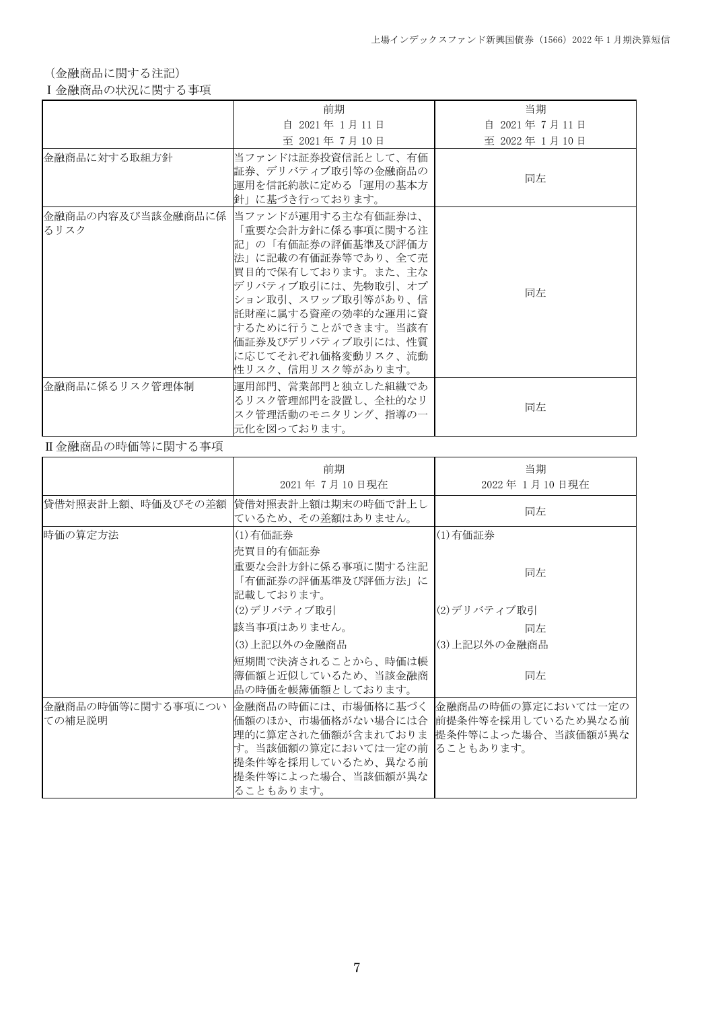(金融商品に関する注記)

## Ⅰ金融商品の状況に関する事項

|                | 前期                                                                                                                                                                                                                                                                                            | 当期            |
|----------------|-----------------------------------------------------------------------------------------------------------------------------------------------------------------------------------------------------------------------------------------------------------------------------------------------|---------------|
|                | 自 2021年 1月11日                                                                                                                                                                                                                                                                                 | 自 2021年7月11日  |
|                | 至 2021年7月10日                                                                                                                                                                                                                                                                                  | 至 2022年 1月10日 |
| 金融商品に対する取組方針   | 当ファンドは証券投資信託として、有価<br>証券、デリバティブ取引等の金融商品の<br>運用を信託約款に定める「運用の基本方<br>針」に基づき行っております。                                                                                                                                                                                                              | 同左            |
| るリスク           | 金融商品の内容及び当該金融商品に係  当ファンドが運用する主な有価証券は、<br>「重要な会計方針に係る事項に関する注<br>記」の「有価証券の評価基準及び評価方<br>法」に記載の有価証券等であり、全て売<br> 買目的で保有しております。また、主な<br> デリバティブ取引には、先物取引、オプ<br> ション取引、スワップ取引等があり、信<br>託財産に属する資産の効率的な運用に資<br> するために行うことができます。当該有<br> 価証券及びデリバティブ取引には、 性質<br>に応じてそれぞれ価格変動リスク、流動<br> 性リスク、信用リスク等があります。 | 同左            |
| 金融商品に係るリスク管理体制 | 運用部門、営業部門と独立した組織であ<br>るリスク管理部門を設置し、全社的なリ<br>スク管理活動のモニタリング、指導の一<br>元化を図っております。                                                                                                                                                                                                                 | 同左            |

## Ⅱ金融商品の時価等に関する事項

|                             | 前期<br>2021年7月10日現在                                                                                                                                                                                                 | 当期<br>2022年1月10日現在 |
|-----------------------------|--------------------------------------------------------------------------------------------------------------------------------------------------------------------------------------------------------------------|--------------------|
| 貸借対照表計上額、時価及びその差額           | 貸借対照表計上額は期末の時価で計上し<br>ているため、その差額はありません。                                                                                                                                                                            | 同左                 |
| 時価の算定方法                     | (1)有価証券<br>売買目的有価証券                                                                                                                                                                                                | (1) 有価証券           |
|                             | 重要な会計方針に係る事項に関する注記<br>「有価証券の評価基準及び評価方法」に<br>記載しております。                                                                                                                                                              | 同左                 |
|                             | (2)デリバティブ取引                                                                                                                                                                                                        | (2)デリバティブ取引        |
|                             | 該当事項はありません。                                                                                                                                                                                                        | 同左                 |
|                             | (3)上記以外の金融商品                                                                                                                                                                                                       | (3)上記以外の金融商品       |
|                             | 短期間で決済されることから、時価は帳<br>簿価額と近似しているため、当該金融商<br>品の時価を帳簿価額としております。                                                                                                                                                      | 同左                 |
| 金融商品の時価等に関する事項につい<br>ての補足説明 | 金融商品の時価には、市場価格に基づく  金融商品の時価の算定においては一定の<br>価額のほか、市場価格がない場合には合  前提条件等を採用しているため異なる前<br>理的に算定された価額が含まれておりま 提条件等によった場合、当該価額が異な<br>す。当該価額の算定においては一定の前 ることもあります。<br>提条件等を採用しているため、異なる前<br>提条件等によった場合、当該価額が異な<br>ることもあります。 |                    |